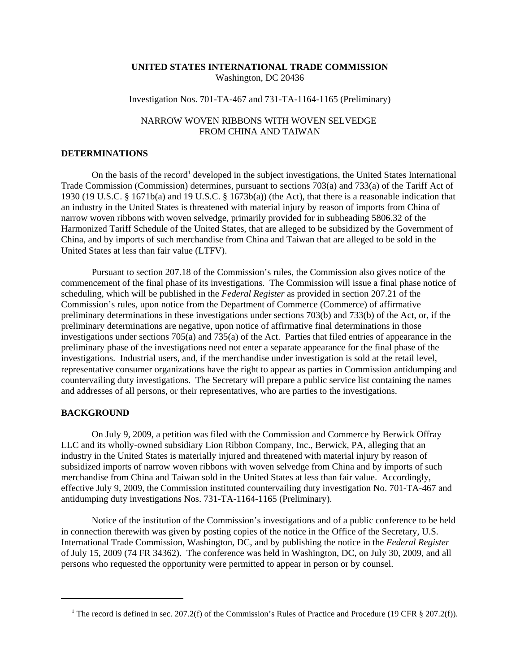## **UNITED STATES INTERNATIONAL TRADE COMMISSION** Washington, DC 20436

## Investigation Nos. 701-TA-467 and 731-TA-1164-1165 (Preliminary)

# NARROW WOVEN RIBBONS WITH WOVEN SELVEDGE FROM CHINA AND TAIWAN

## **DETERMINATIONS**

On the basis of the record<sup>1</sup> developed in the subject investigations, the United States International Trade Commission (Commission) determines, pursuant to sections 703(a) and 733(a) of the Tariff Act of 1930 (19 U.S.C. § 1671b(a) and 19 U.S.C. § 1673b(a)) (the Act), that there is a reasonable indication that an industry in the United States is threatened with material injury by reason of imports from China of narrow woven ribbons with woven selvedge, primarily provided for in subheading 5806.32 of the Harmonized Tariff Schedule of the United States, that are alleged to be subsidized by the Government of China, and by imports of such merchandise from China and Taiwan that are alleged to be sold in the United States at less than fair value (LTFV).

Pursuant to section 207.18 of the Commission's rules, the Commission also gives notice of the commencement of the final phase of its investigations. The Commission will issue a final phase notice of scheduling, which will be published in the *Federal Register* as provided in section 207.21 of the Commission's rules, upon notice from the Department of Commerce (Commerce) of affirmative preliminary determinations in these investigations under sections 703(b) and 733(b) of the Act, or, if the preliminary determinations are negative, upon notice of affirmative final determinations in those investigations under sections 705(a) and 735(a) of the Act. Parties that filed entries of appearance in the preliminary phase of the investigations need not enter a separate appearance for the final phase of the investigations. Industrial users, and, if the merchandise under investigation is sold at the retail level, representative consumer organizations have the right to appear as parties in Commission antidumping and countervailing duty investigations. The Secretary will prepare a public service list containing the names and addresses of all persons, or their representatives, who are parties to the investigations.

#### **BACKGROUND**

On July 9, 2009, a petition was filed with the Commission and Commerce by Berwick Offray LLC and its wholly-owned subsidiary Lion Ribbon Company, Inc., Berwick, PA, alleging that an industry in the United States is materially injured and threatened with material injury by reason of subsidized imports of narrow woven ribbons with woven selvedge from China and by imports of such merchandise from China and Taiwan sold in the United States at less than fair value. Accordingly, effective July 9, 2009, the Commission instituted countervailing duty investigation No. 701-TA-467 and antidumping duty investigations Nos. 731-TA-1164-1165 (Preliminary).

Notice of the institution of the Commission's investigations and of a public conference to be held in connection therewith was given by posting copies of the notice in the Office of the Secretary, U.S. International Trade Commission, Washington, DC, and by publishing the notice in the *Federal Register* of July 15, 2009 (74 FR 34362). The conference was held in Washington, DC, on July 30, 2009, and all persons who requested the opportunity were permitted to appear in person or by counsel.

<sup>&</sup>lt;sup>1</sup> The record is defined in sec. 207.2(f) of the Commission's Rules of Practice and Procedure (19 CFR § 207.2(f)).